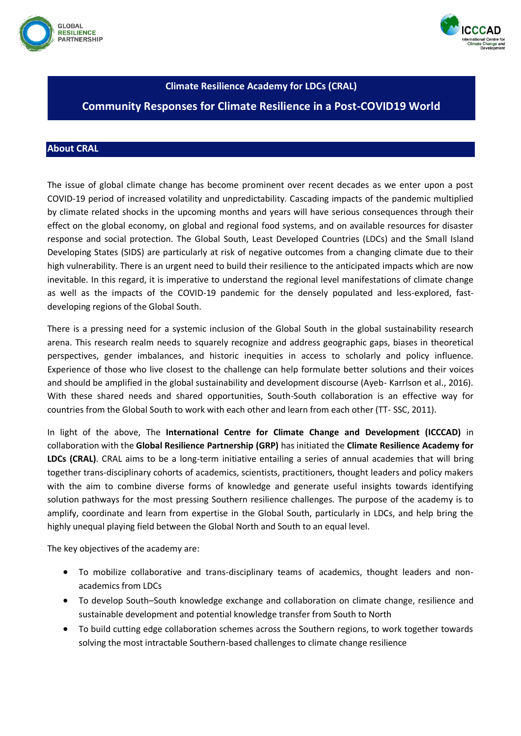



### **Climate Resilience Academy for LDCs (CRAL)**

# **Community Responses for Climate Resilience in a Post-COVID19 World**

## **About CRAL**

The issue of global climate change has become prominent over recent decades as we enter upon a post COVID-19 period of increased volatility and unpredictability. Cascading impacts of the pandemic multiplied by climate related shocks in the upcoming months and years will have serious consequences through their effect on the global economy, on global and regional food systems, and on available resources for disaster response and social protection. The Global South, Least Developed Countries (LDCs) and the Small Island Developing States (SIDS) are particularly at risk of negative outcomes from a changing climate due to their high vulnerability. There is an urgent need to build their resilience to the anticipated impacts which are now inevitable. In this regard, it is imperative to understand the regional level manifestations of climate change as well as the impacts of the COVID-19 pandemic for the densely populated and less-explored, fastdeveloping regions of the Global South.

There is a pressing need for a systemic inclusion of the Global South in the global sustainability research arena. This research realm needs to squarely recognize and address geographic gaps, biases in theoretical perspectives, gender imbalances, and historic inequities in access to scholarly and policy influence. Experience of those who live closest to the challenge can help formulate better solutions and their voices and should be amplified in the global sustainability and development discourse (Ayeb- Karrlson et al., 2016). With these shared needs and shared opportunities, South-South collaboration is an effective way for countries from the Global South to work with each other and learn from each other (TT- SSC, 2011).

In light of the above, The **International Centre for Climate Change and Development (ICCCAD)** in collaboration with the **Global Resilience Partnership (GRP)** has initiated the **Climate Resilience Academy for LDCs (CRAL)**. CRAL aims to be a long-term initiative entailing a series of annual academies that will bring together trans-disciplinary cohorts of academics, scientists, practitioners, thought leaders and policy makers with the aim to combine diverse forms of knowledge and generate useful insights towards identifying solution pathways for the most pressing Southern resilience challenges. The purpose of the academy is to amplify, coordinate and learn from expertise in the Global South, particularly in LDCs, and help bring the highly unequal playing field between the Global North and South to an equal level.

The key objectives of the academy are:

- To mobilize collaborative and trans-disciplinary teams of academics, thought leaders and nonacademics from LDCs
- To develop South–South knowledge exchange and collaboration on climate change, resilience and sustainable development and potential knowledge transfer from South to North
- To build cutting edge collaboration schemes across the Southern regions, to work together towards solving the most intractable Southern-based challenges to climate change resilience